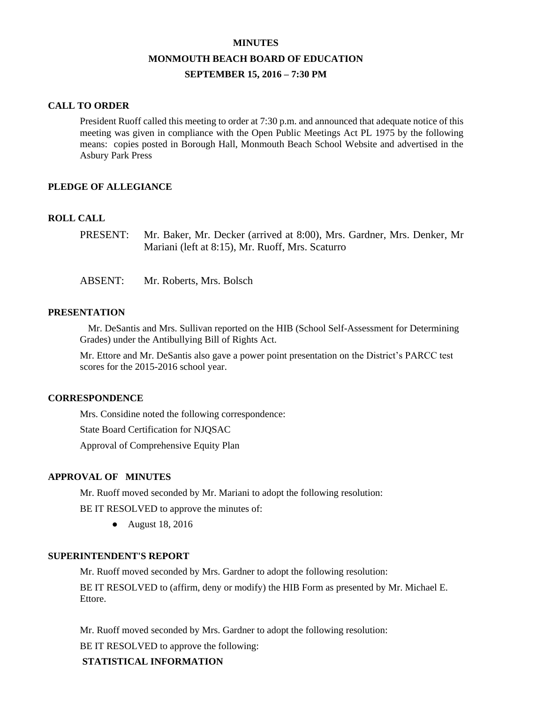#### **MINUTES**

# **MONMOUTH BEACH BOARD OF EDUCATION**

## **SEPTEMBER 15, 2016 – 7:30 PM**

### **CALL TO ORDER**

President Ruoff called this meeting to order at 7:30 p.m. and announced that adequate notice of this meeting was given in compliance with the Open Public Meetings Act PL 1975 by the following means: copies posted in Borough Hall, Monmouth Beach School Website and advertised in the Asbury Park Press

## **PLEDGE OF ALLEGIANCE**

## **ROLL CALL**

PRESENT: Mr. Baker, Mr. Decker (arrived at 8:00), Mrs. Gardner, Mrs. Denker, Mr Mariani (left at 8:15), Mr. Ruoff, Mrs. Scaturro

ABSENT: Mr. Roberts, Mrs. Bolsch

## **PRESENTATION**

Mr. DeSantis and Mrs. Sullivan reported on the HIB (School Self-Assessment for Determining Grades) under the Antibullying Bill of Rights Act.

Mr. Ettore and Mr. DeSantis also gave a power point presentation on the District's PARCC test scores for the 2015-2016 school year.

### **CORRESPONDENCE**

Mrs. Considine noted the following correspondence: State Board Certification for NJQSAC Approval of Comprehensive Equity Plan

### **APPROVAL OF MINUTES**

Mr. Ruoff moved seconded by Mr. Mariani to adopt the following resolution:

BE IT RESOLVED to approve the minutes of:

● August 18, 2016

## **SUPERINTENDENT'S REPORT**

Mr. Ruoff moved seconded by Mrs. Gardner to adopt the following resolution:

BE IT RESOLVED to (affirm, deny or modify) the HIB Form as presented by Mr. Michael E. Ettore.

Mr. Ruoff moved seconded by Mrs. Gardner to adopt the following resolution:

BE IT RESOLVED to approve the following:

## **STATISTICAL INFORMATION**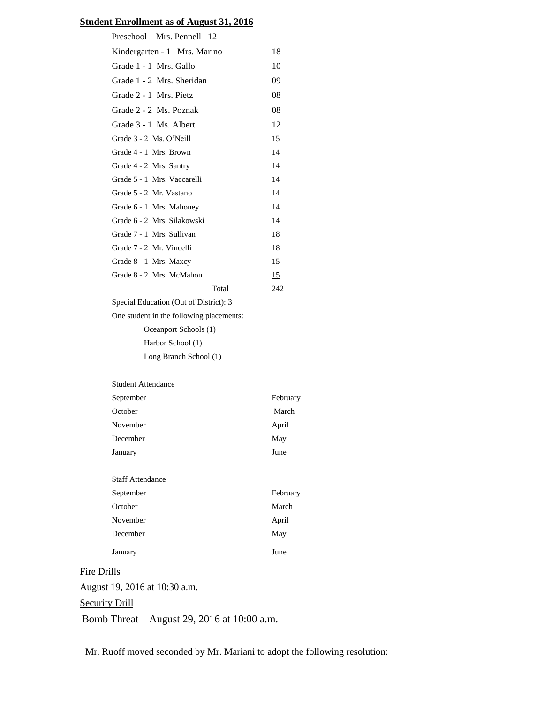## **Student Enrollment as of August 31, 2016**

| Preschool - Mrs. Pennell 12              |     |
|------------------------------------------|-----|
| Kindergarten - 1 Mrs. Marino             | 18  |
| Grade 1 - 1 Mrs. Gallo                   | 10  |
| Grade 1 - 2 Mrs. Sheridan                | 09  |
| Grade 2 - 1 Mrs. Pietz                   | 08  |
| Grade 2 - 2 Ms. Poznak                   | 08  |
| Grade 3 - 1 Ms. Albert                   | 12  |
| Grade 3 - 2 Ms. O'Neill                  | 15  |
| Grade 4 - 1 Mrs. Brown                   | 14  |
| Grade 4 - 2 Mrs. Santry                  | 14  |
| Grade 5 - 1 Mrs. Vaccarelli              | 14  |
| Grade 5 - 2 Mr. Vastano                  | 14  |
| Grade 6 - 1 Mrs. Mahoney                 | 14  |
| Grade 6 - 2 Mrs. Silakowski              | 14  |
| Grade 7 - 1 Mrs. Sullivan                | 18  |
| Grade 7 - 2 Mr. Vincelli                 | 18  |
| Grade 8 - 1 Mrs. Maxcy                   | 15  |
| Grade 8 - 2 Mrs. McMahon                 | 15  |
| Total                                    | 242 |
| Special Education (Out of District): 3   |     |
| One student in the following placements: |     |
| Oceanport Schools (1)                    |     |
| Harbor School (1)                        |     |
| Long Branch School (1)                   |     |
|                                          |     |
| <b>Student Attendance</b>                |     |

| September | February |
|-----------|----------|
| October   | March    |
| November  | April    |
| December  | May      |
| January   | June     |
|           |          |

### **Staff Attendance**

| September | February |
|-----------|----------|
| October   | March    |
| November  | April    |
| December  | May      |
| January   | June     |

## Fire Drills

August 19, 2016 at 10:30 a.m.

## **Security Drill**

Bomb Threat – August 29, 2016 at 10:00 a.m.

Mr. Ruoff moved seconded by Mr. Mariani to adopt the following resolution: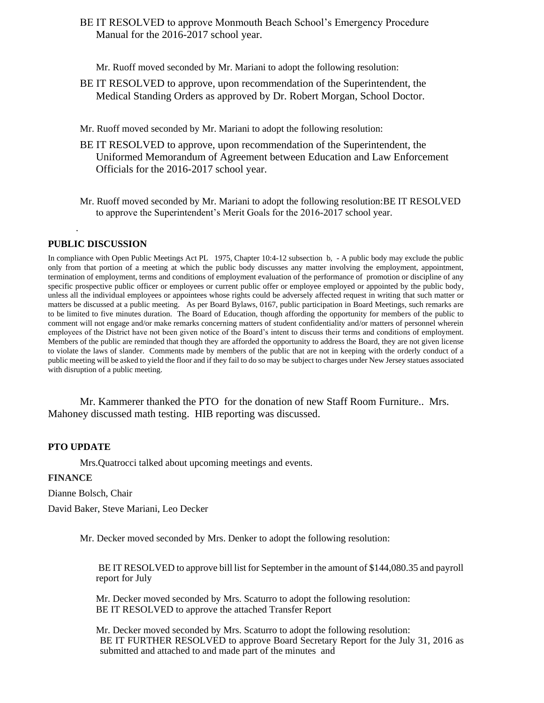BE IT RESOLVED to approve Monmouth Beach School's Emergency Procedure Manual for the 2016-2017 school year.

Mr. Ruoff moved seconded by Mr. Mariani to adopt the following resolution:

- BE IT RESOLVED to approve, upon recommendation of the Superintendent, the Medical Standing Orders as approved by Dr. Robert Morgan, School Doctor.
- Mr. Ruoff moved seconded by Mr. Mariani to adopt the following resolution:
- BE IT RESOLVED to approve, upon recommendation of the Superintendent, the Uniformed Memorandum of Agreement between Education and Law Enforcement Officials for the 2016-2017 school year.
- Mr. Ruoff moved seconded by Mr. Mariani to adopt the following resolution:BE IT RESOLVED to approve the Superintendent's Merit Goals for the 2016-2017 school year.

#### **PUBLIC DISCUSSION**

.

In compliance with Open Public Meetings Act PL 1975, Chapter 10:4-12 subsection b, - A public body may exclude the public only from that portion of a meeting at which the public body discusses any matter involving the employment, appointment, termination of employment, terms and conditions of employment evaluation of the performance of promotion or discipline of any specific prospective public officer or employees or current public offer or employee employed or appointed by the public body, unless all the individual employees or appointees whose rights could be adversely affected request in writing that such matter or matters be discussed at a public meeting. As per Board Bylaws, 0167, public participation in Board Meetings, such remarks are to be limited to five minutes duration. The Board of Education, though affording the opportunity for members of the public to comment will not engage and/or make remarks concerning matters of student confidentiality and/or matters of personnel wherein employees of the District have not been given notice of the Board's intent to discuss their terms and conditions of employment. Members of the public are reminded that though they are afforded the opportunity to address the Board, they are not given license to violate the laws of slander. Comments made by members of the public that are not in keeping with the orderly conduct of a public meeting will be asked to yield the floor and if they fail to do so may be subject to charges under New Jersey statues associated with disruption of a public meeting.

Mr. Kammerer thanked the PTO for the donation of new Staff Room Furniture.. Mrs. Mahoney discussed math testing. HIB reporting was discussed.

#### **PTO UPDATE**

Mrs.Quatrocci talked about upcoming meetings and events.

#### **FINANCE**

Dianne Bolsch, Chair

David Baker, Steve Mariani, Leo Decker

Mr. Decker moved seconded by Mrs. Denker to adopt the following resolution:

BE IT RESOLVED to approve bill list for September in the amount of \$144,080.35 and payroll report for July

Mr. Decker moved seconded by Mrs. Scaturro to adopt the following resolution: BE IT RESOLVED to approve the attached Transfer Report

Mr. Decker moved seconded by Mrs. Scaturro to adopt the following resolution: BE IT FURTHER RESOLVED to approve Board Secretary Report for the July 31, 2016 as submitted and attached to and made part of the minutes and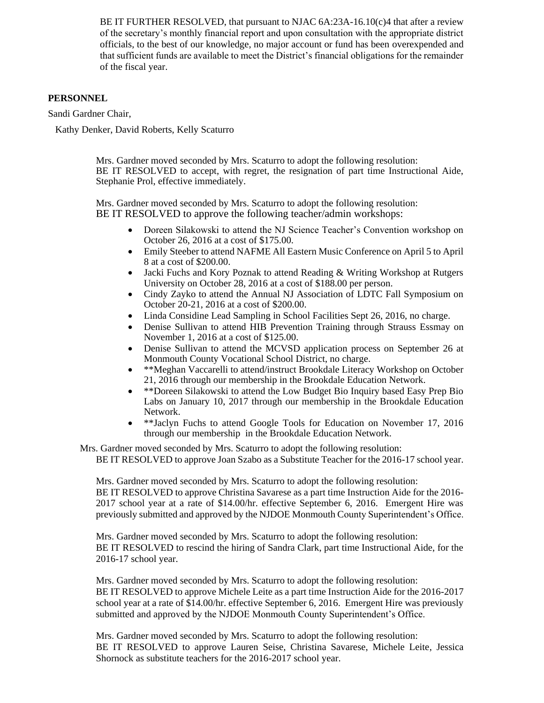BE IT FURTHER RESOLVED, that pursuant to NJAC  $6A:23A-16.10(c)4$  that after a review of the secretary's monthly financial report and upon consultation with the appropriate district officials, to the best of our knowledge, no major account or fund has been overexpended and that sufficient funds are available to meet the District's financial obligations for the remainder of the fiscal year.

## **PERSONNEL**

Sandi Gardner Chair,

Kathy Denker, David Roberts, Kelly Scaturro

Mrs. Gardner moved seconded by Mrs. Scaturro to adopt the following resolution: BE IT RESOLVED to accept, with regret, the resignation of part time Instructional Aide, Stephanie Prol, effective immediately.

Mrs. Gardner moved seconded by Mrs. Scaturro to adopt the following resolution: BE IT RESOLVED to approve the following teacher/admin workshops:

- Doreen Silakowski to attend the NJ Science Teacher's Convention workshop on October 26, 2016 at a cost of \$175.00.
- Emily Steeber to attend NAFME All Eastern Music Conference on April 5 to April 8 at a cost of \$200.00.
- Jacki Fuchs and Kory Poznak to attend Reading & Writing Workshop at Rutgers University on October 28, 2016 at a cost of \$188.00 per person.
- Cindy Zayko to attend the Annual NJ Association of LDTC Fall Symposium on October 20-21, 2016 at a cost of \$200.00.
- Linda Considine Lead Sampling in School Facilities Sept 26, 2016, no charge.
- Denise Sullivan to attend HIB Prevention Training through Strauss Essmay on November 1, 2016 at a cost of \$125.00.
- Denise Sullivan to attend the MCVSD application process on September 26 at Monmouth County Vocational School District, no charge.
- \*\*Meghan Vaccarelli to attend/instruct Brookdale Literacy Workshop on October 21, 2016 through our membership in the Brookdale Education Network.
- \*\*Doreen Silakowski to attend the Low Budget Bio Inquiry based Easy Prep Bio Labs on January 10, 2017 through our membership in the Brookdale Education Network.
- \*\*Jaclyn Fuchs to attend Google Tools for Education on November 17, 2016 through our membership in the Brookdale Education Network.

Mrs. Gardner moved seconded by Mrs. Scaturro to adopt the following resolution: BE IT RESOLVED to approve Joan Szabo as a Substitute Teacher for the 2016-17 school year.

Mrs. Gardner moved seconded by Mrs. Scaturro to adopt the following resolution: BE IT RESOLVED to approve Christina Savarese as a part time Instruction Aide for the 2016- 2017 school year at a rate of \$14.00/hr. effective September 6, 2016. Emergent Hire was previously submitted and approved by the NJDOE Monmouth County Superintendent's Office.

Mrs. Gardner moved seconded by Mrs. Scaturro to adopt the following resolution: BE IT RESOLVED to rescind the hiring of Sandra Clark, part time Instructional Aide, for the 2016-17 school year.

Mrs. Gardner moved seconded by Mrs. Scaturro to adopt the following resolution: BE IT RESOLVED to approve Michele Leite as a part time Instruction Aide for the 2016-2017 school year at a rate of \$14.00/hr. effective September 6, 2016. Emergent Hire was previously submitted and approved by the NJDOE Monmouth County Superintendent's Office.

Mrs. Gardner moved seconded by Mrs. Scaturro to adopt the following resolution: BE IT RESOLVED to approve Lauren Seise, Christina Savarese, Michele Leite, Jessica Shornock as substitute teachers for the 2016-2017 school year.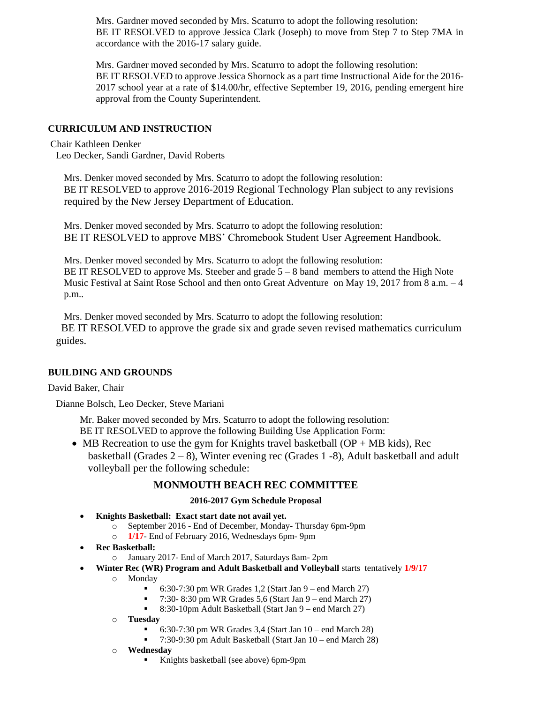Mrs. Gardner moved seconded by Mrs. Scaturro to adopt the following resolution: BE IT RESOLVED to approve Jessica Clark (Joseph) to move from Step 7 to Step 7MA in accordance with the 2016-17 salary guide.

Mrs. Gardner moved seconded by Mrs. Scaturro to adopt the following resolution: BE IT RESOLVED to approve Jessica Shornock as a part time Instructional Aide for the 2016- 2017 school year at a rate of \$14.00/hr, effective September 19, 2016, pending emergent hire approval from the County Superintendent.

## **CURRICULUM AND INSTRUCTION**

## Chair Kathleen Denker

Leo Decker, Sandi Gardner, David Roberts

Mrs. Denker moved seconded by Mrs. Scaturro to adopt the following resolution: BE IT RESOLVED to approve 2016-2019 Regional Technology Plan subject to any revisions required by the New Jersey Department of Education.

Mrs. Denker moved seconded by Mrs. Scaturro to adopt the following resolution: BE IT RESOLVED to approve MBS' Chromebook Student User Agreement Handbook.

Mrs. Denker moved seconded by Mrs. Scaturro to adopt the following resolution: BE IT RESOLVED to approve Ms. Steeber and grade  $5 - 8$  band members to attend the High Note Music Festival at Saint Rose School and then onto Great Adventure on May 19, 2017 from 8 a.m. – 4 p.m..

Mrs. Denker moved seconded by Mrs. Scaturro to adopt the following resolution: BE IT RESOLVED to approve the grade six and grade seven revised mathematics curriculum guides.

### **BUILDING AND GROUNDS**

### David Baker, Chair

Dianne Bolsch, Leo Decker, Steve Mariani

Mr. Baker moved seconded by Mrs. Scaturro to adopt the following resolution: BE IT RESOLVED to approve the following Building Use Application Form:

• MB Recreation to use the gym for Knights travel basketball  $OP + MB$  kids), Rec basketball (Grades  $2-8$ ), Winter evening rec (Grades 1 -8), Adult basketball and adult volleyball per the following schedule:

## **MONMOUTH BEACH REC COMMITTEE**

#### **2016-2017 Gym Schedule Proposal**

- **Knights Basketball: Exact start date not avail yet.**
	- o September 2016 End of December, Monday- Thursday 6pm-9pm
	- o **1/17** End of February 2016, Wednesdays 6pm- 9pm
- **Rec Basketball:** 
	- o January 2017- End of March 2017, Saturdays 8am- 2pm
- **Winter Rec (WR) Program and Adult Basketball and Volleyball** starts tentatively **1/9/17**
	- o Monday
		- 6:30-7:30 pm WR Grades 1,2 (Start Jan 9 end March 27)
		- $\blacksquare$  7:30- 8:30 pm WR Grades 5,6 (Start Jan 9 end March 27)
		- 8:30-10pm Adult Basketball (Start Jan 9 end March 27)
	- o **Tuesday**
		- 6:30-7:30 pm WR Grades 3,4 (Start Jan 10 end March 28)
		- 7:30-9:30 pm Adult Basketball (Start Jan 10 end March 28)
	- o **Wednesday**
		- Knights basketball (see above) 6pm-9pm